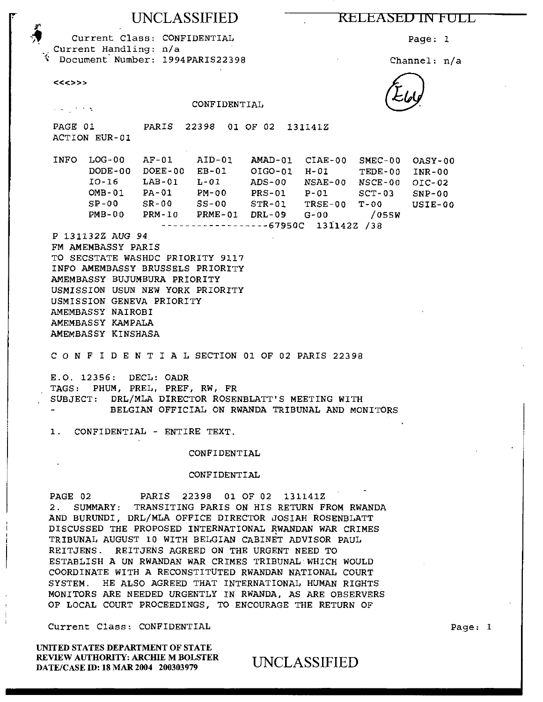## UNCLASSIFIED

### KELEASED IN FULL

Page: 1

Channel: n/a

Current Class: CONFIDENTIAL Current Handling: n/a S Document Number: 1994PARIS22398

 $<<$  <>>>

CONFIDENTIAL  $\mathcal{L}(\omega)$  ,  $\mathcal{L}(\omega)$  ,  $\mathcal{L}(\omega)$ PAGE 01 PARIS 22398 01 OF 02 131141Z ACTION EUR-01 INFO LOG-00 AF-01 AID-01 AMAD-01 CIAE-00 SMEC-00 OASY-00 DODE-00 DOEE-00 EB-01 OIG0-01 H-01 TEDE-00 INR-00 10-16 LAB-01 L-01 ADS-00 NSAE-00 NSCE-00 OIC-02 OMB-01 PA-01 PM-00 PRS-01 P-01 SCT-03 SNP-00 SP-00 SR-00 SS-00 STR-01 TRSE-00 T-00 USIE-00 PMB-00 PRM-10 PRME-01 DRL-09 G-00 /055W -----------------67950C 131142Z /38 P 131132Z AUG 94 . FM AMEMBASSY PARIS TO SECSTATE WASHDC PRIORITY 9117 INFO AMEMBASSY BRUSSELS PRIORITY AMEMBASSY BUJUMBURA PRIORITY USMISSION USUN NEW YORK PRIORITY USMISSION GENEVA PRIORITY AMEMBASSY NAIROBI AMEMBASSY KAMPALA AMEMBASSY KINSHASA C O N F I D E N T I A L SECTION 01 OF 02 PARIS 22398 E.O. 12356: DECL: OADR TAGS: PHUM, PREL, PREF, RW, FR SUBJECT: DRL/MLA DIRECTOR ROSENBLATT'S MEETING WITH BELGIAN OFFICIAL ON RWANDA TRIBUNAL AND MONITORS 1. CONFIDENTIAL - ENTIRE TEXT.

### CONFIDENTIAL

### CONFIDENTIAL

PAGE 02 PARIS 22398 01 OF 02 131141Z 2. SUMMARY: TRANSITING PARIS ON HIS RETURN FROM RWANDA AND BURUNDI, DRL/MLA OFFICE DIRECTOR JOSIAH ROSENBLATT DISCUSSED THE PROPOSED INTERNATIONAL RWANDAN WAR CRIMES TRIBUNAL AUGUST 10 WITH BELGIAN CABINET ADVISOR PAUL REITJENS. REITJENS AGREED ON THE URGENT NEED TO ESTABLISH A UN RWANDAN WAR CRIMES TRIBUNAL WHICH WOULD COORDINATE WITH A RECONSTITUTED RWANDAN NATIONAL COURT SYSTEM. HE ALSO AGREED THAT INTERNATIONAL HUMAN RIGHTS MONITORS ARE NEEDED URGENTLY IN RWANDA, AS ARE OBSERVERS OF LOCAL COURT PROCEEDINGS, TO ENCOURAGE THE RETURN OF

Current Class: CONFIDENTIAL

UNITED STATES DEPARTMENT OF STATE REVIEW AUTHORITY: ARCHIE M BOLSTER DATE/CASE ID: 18 MAR 2004 200303979

UNCLASSIFIED

Page: 1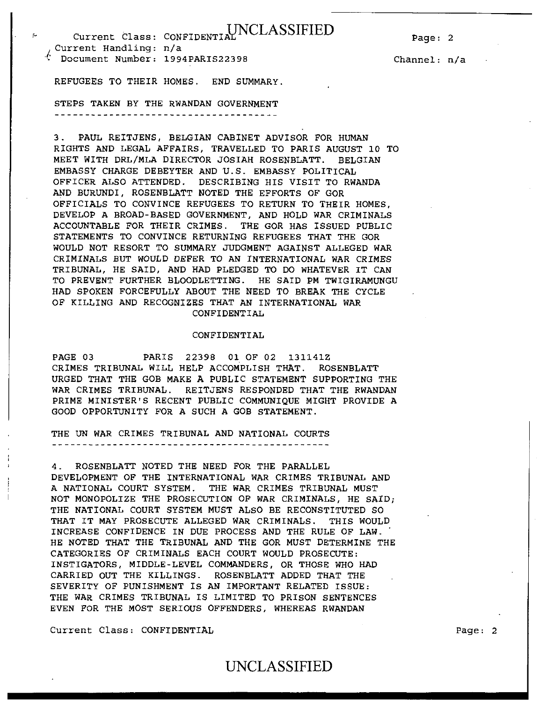Current Class: CONFIDENTIAL NCLASSIFIED ,Current Handling: n/a <sup>I</sup>: Document Number: 1994PARIS22398

Channel: n/a

REFUGEES TO THEIR HOMES. END SUMMARY.

STEPS TAKEN BY THE RWANDAN GOVERNMENT

3. PAUL REITJENS, BELGIAN CABINET ADVISOR FOR HUMAN RIGHTS AND LEGAL AFFAIRS, TRAVELLED TO PARIS AUGUST 10 TO MEET WITH DRL/MLA DIRECTOR JOSIAH ROSENBLATT. BELGIAN EMBASSY CHARGE DEBEYTER AND U.S. EMBASSY POLITICAL OFFICER ALSO ATTENDED. DESCRIBING HIS VISIT TO RWANDA AND BURUNDI, ROSENBLATT NOTED THE EFFORTS OF GOR OFFICIALS TO CONVINCE REFUGEES TO RETURN TO THEIR HOMES, DEVELOP A BROAD-BASED GOVERNMENT, AND HOLD WAR CRIMINALS ACCOUNTABLE FOR THEIR CRIMES. THE GOR HAS ISSUED PUBLIC STATEMENTS TO CONVINCE RETURNING REFUGEES THAT THE GOR WOULD NOT RESORT TO SUMMARY JUDGMENT AGAINST ALLEGED WAR CRIMINALS BUT WOULD DEFER TO AN INTERNATIONAL WAR CRIMES TRIBUNAL, HE SAID, AND HAD PLEDGED TO DO WHATEVER IT CAN TO PREVENT FURTHER BLOODLETTING. HE SAID PM TWIGIRAMUNGU HAD SPOKEN FORCEFULLY ABOUT THE NEED TO BREAK THE CYCLE OF KILLING AND RECOGNIZES THAT AN INTERNATIONAL WAR CONFIDENTIAL

### CONFIDENTIAL

PAGE 03 PARIS 22398 01 OF 02 131141Z CRIMES TRIBUNAL WILL HELP ACCOMPLISH THAT. ROSENBLATT URGED THAT THE GOB MAKE A PUBLIC STATEMENT SUPPORTING THE WAR CRIMES TRIBUNAL. REITJENS RESPONDED THAT THE RWANDAN PRIME MINISTER'S RECENT PUBLIC COMMUNIQUE MIGHT PROVIDE A GOOD OPPORTUNITY FOR A SUCH A GOB STATEMENT.

THE UN WAR CRIMES TRIBUNAL AND NATIONAL COURTS 

4. ROSENBLATT NOTED THE NEED FOR THE PARALLEL DEVELOPMENT OF THE INTERNATIONAL WAR CRIMES TRIBUNAL AND A NATIONAL COURT SYSTEM. THE WAR CRIMES TRIBUNAL MUST NOT MONOPOLIZE THE PROSECUTION OF WAR CRIMINALS, HE SAID; THE NATIONAL COURT SYSTEM MUST ALSO BE RECONSTITUTED SO THAT IT MAY PROSECUTE ALLEGED WAR CRIMINALS. THIS WOULD INCREASE CONFIDENCE IN DUE PROCESS AND THE RULE OF LAW. HE NOTED THAT THE TRIBUNAL AND THE GOR MUST DETERMINE THE CATEGORIES OF CRIMINALS EACH COURT WOULD PROSECUTE: INSTIGATORS, MIDDLE-LEVEL COMMANDERS, OR THOSE WHO HAD CARRIED OUT THE KILLINGS. ROSENBLATT ADDED THAT THE SEVERITY OF PUNISHMENT IS AN IMPORTANT RELATED ISSUE: THE WAR CRIMES TRIBUNAL IS LIMITED TO PRISON SENTENCES EVEN FOR THE MOST SERIOUS OFFENDERS, WHEREAS RWANDAN

Current Class: CONFIDENTIAL Page: 2

## UNCLASSIFIED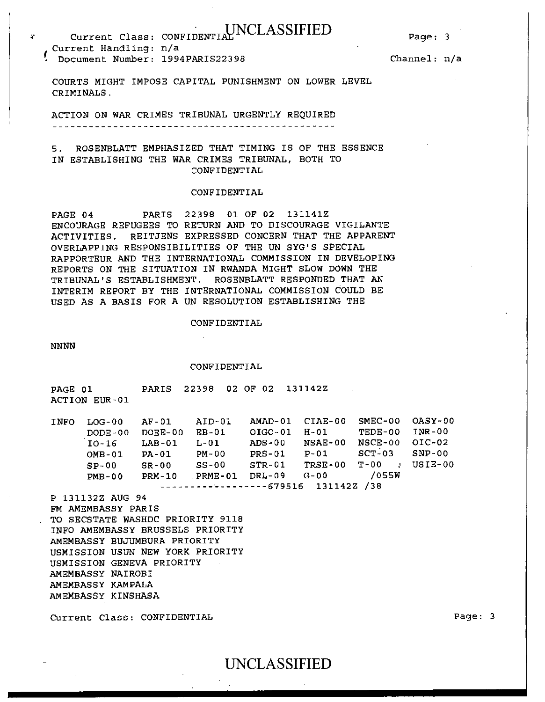### Page: 3

# Current Class: CONFIDENTIAL NCLASSIFIED Current Handling: n/a • Document Number: 1994PARIS22398

Channel: n/a

COURTS MIGHT IMPOSE CAPITAL PUNISHMENT ON LOWER LEVEL CRIMINALS.

ACTION ON WAR CRIMES TRIBUNAL URGENTLY REQUIRED 

5. ROSENBLATT EMPHASIZED THAT TIMING IS OF THE ESSENCE IN ESTABLISHING THE WAR CRIMES TRIBUNAL, BOTH TO CONFIDENTIAL

### CONFIDENTIAL

PAGE 04 PARIS 22398 01 OF 02 131141Z ENCOURAGE REFUGEES TO RETURN AND TO DISCOURAGE VIGILANTE ACTIVITIES. REITJENS EXPRESSED CONCERN THAT THE APPARENT OVERLAPPING RESPONSIBILITIES OF THE UN SYG'S SPECIAL RAPPORTEUR AND THE INTERNATIONAL COMMISSION IN DEVELOPING REPORTS ON THE SITUATION IN RWANDA MIGHT SLOW DOWN THE TRIBUNAL'S ESTABLISHMENT. ROSENBLATT RESPONDED THAT AN INTERIM REPORT BY THE INTERNATIONAL COMMISSION COULD BE USED AS A BASIS FOR A UN RESOLUTION ESTABLISHING THE

#### CONFIDENTIAL

NNNN

CONFIDENTIAL

PAGE 01 PARIS 22398 02 OF 02 131142Z ACTION EUR-01

| I NFO.                              | $LOG-0.0$    | AF-01      | AID-01   | AMAD-01  | CIAE-00 | SMEC-00                | OASY-00  |
|-------------------------------------|--------------|------------|----------|----------|---------|------------------------|----------|
|                                     | $DODE - 0.0$ | $DOEE-0.0$ | $EB-01$  | OIGO-01  | H-01    | TEDE-00                | INR-00   |
|                                     | IO-16        | $LAB-01$   | $L - 01$ | $ADS-00$ | NSAE-00 | $NGCE-00$              | OIC-02   |
|                                     | $OMB-01$     | PA-01      | PM-00    | $PRS-01$ | P-01    | $SCT-03$               | $SNP-00$ |
|                                     | $SP-00$      | $SR-00$    | $SS-00$  | $STR-01$ | TRSE-00 | T-00<br>$\overline{1}$ | USIE-00  |
|                                     | $PMB-00$     | $PRM-10$   | PRME-01  | DRL-09   | G-00    | 7055W                  |          |
| $---------------679516$ 131142Z /38 |              |            |          |          |         |                        |          |

UNCLASSIFIED

P 131132Z AUG 94 FM AMEMBASSY PARIS . TO SECSTATE WASHDC PRIORITY 9118 INFO AMEMBASSY BRUSSELS PRIORITY AMEMBASSY BUJUMBURA PRIORITY USMISSION USUN NEW YORK PRIORITY USMISSION GENEVA PRIORITY AMEMBASSY NAIROBI AMEMBASSY KAMPALA AMEMBASSY KINSHASA

Current Class: CONFIDENTIAL Page: 3